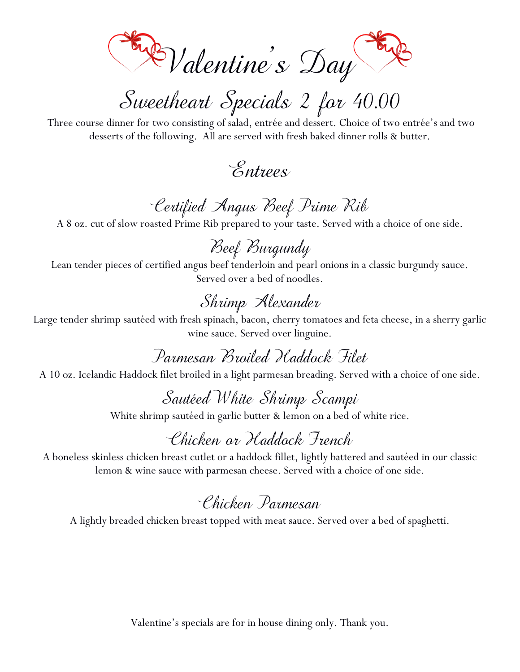Valentine's Day

Sweetheart Specials 2 for 40.00

Three course dinner for two consisting of salad, entrée and dessert. Choice of two entrée's and two desserts of the following. All are served with fresh baked dinner rolls & butter.

 Entrees

# Certified Angus Beef Prime Rib

A 8 oz. cut of slow roasted Prime Rib prepared to your taste. Served with a choice of one side.

Beef Burgundy

Lean tender pieces of certified angus beef tenderloin and pearl onions in a classic burgundy sauce. Served over a bed of noodles.

# Shrimp Alexander

Large tender shrimp sautéed with fresh spinach, bacon, cherry tomatoes and feta cheese, in a sherry garlic wine sauce. Served over linguine.

Parmesan Broiled Haddock Filet

A 10 oz. Icelandic Haddock filet broiled in a light parmesan breading. Served with a choice of one side.

#### Sautéed White Shrimp Scampi

White shrimp sautéed in garlic butter & lemon on a bed of white rice.

## Chicken or Haddock French

A boneless skinless chicken breast cutlet or a haddock fillet, lightly battered and sautéed in our classic lemon & wine sauce with parmesan cheese. Served with a choice of one side.

## Chicken Parmesan

A lightly breaded chicken breast topped with meat sauce. Served over a bed of spaghetti.

Valentine's specials are for in house dining only. Thank you.